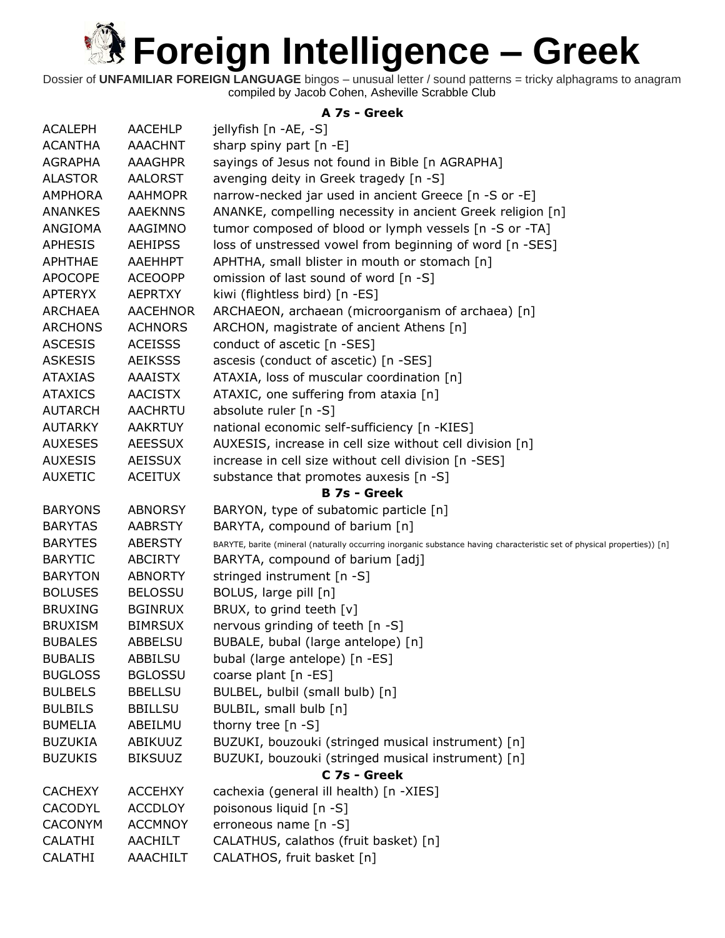**Referred Street Englisher Act and ADD FOR ADDRESS TO ALL ADDRESS TO ALL ADDRESS TO ALL ADDRESS TO ALL ADDRESS TO ALL ADDRESS TO ALL ADDRESS TO ALL ADDRESS TO ALL ADDRESS TO ALL ADDRESS TO ALL ADDRESS TO ALL ADDRESS TO ALL** 

Dossier of **UNFAMILIAR FOREIGN LANGUAGE** bingos – unusual letter / sound patterns = tricky alphagrams to anagram compiled by Jacob Cohen, Asheville Scrabble Club

#### **A 7s - Greek**

| <b>ACALEPH</b> | <b>AACEHLP</b>  | jellyfish [n -AE, -S]                                                                                                   |
|----------------|-----------------|-------------------------------------------------------------------------------------------------------------------------|
| <b>ACANTHA</b> | <b>AAACHNT</b>  | sharp spiny part $[n -E]$                                                                                               |
| <b>AGRAPHA</b> | <b>AAAGHPR</b>  | sayings of Jesus not found in Bible [n AGRAPHA]                                                                         |
| <b>ALASTOR</b> | <b>AALORST</b>  | avenging deity in Greek tragedy [n -S]                                                                                  |
| <b>AMPHORA</b> | <b>AAHMOPR</b>  | narrow-necked jar used in ancient Greece [n -S or -E]                                                                   |
| <b>ANANKES</b> | <b>AAEKNNS</b>  | ANANKE, compelling necessity in ancient Greek religion [n]                                                              |
| ANGIOMA        | AAGIMNO         | tumor composed of blood or lymph vessels [n -S or -TA]                                                                  |
| <b>APHESIS</b> | <b>AEHIPSS</b>  | loss of unstressed vowel from beginning of word [n -SES]                                                                |
| <b>APHTHAE</b> | AAEHHPT         | APHTHA, small blister in mouth or stomach [n]                                                                           |
| <b>APOCOPE</b> | <b>ACEOOPP</b>  | omission of last sound of word [n -S]                                                                                   |
| <b>APTERYX</b> | <b>AEPRTXY</b>  | kiwi (flightless bird) [n -ES]                                                                                          |
| <b>ARCHAEA</b> | <b>AACEHNOR</b> | ARCHAEON, archaean (microorganism of archaea) [n]                                                                       |
| <b>ARCHONS</b> | <b>ACHNORS</b>  | ARCHON, magistrate of ancient Athens [n]                                                                                |
| <b>ASCESIS</b> | <b>ACEISSS</b>  | conduct of ascetic [n -SES]                                                                                             |
| <b>ASKESIS</b> | <b>AEIKSSS</b>  | ascesis (conduct of ascetic) [n -SES]                                                                                   |
| <b>ATAXIAS</b> | <b>AAAISTX</b>  | ATAXIA, loss of muscular coordination [n]                                                                               |
| <b>ATAXICS</b> | <b>AACISTX</b>  | ATAXIC, one suffering from ataxia [n]                                                                                   |
| <b>AUTARCH</b> | <b>AACHRTU</b>  | absolute ruler [n -S]                                                                                                   |
| <b>AUTARKY</b> | <b>AAKRTUY</b>  | national economic self-sufficiency [n -KIES]                                                                            |
| <b>AUXESES</b> | <b>AEESSUX</b>  | AUXESIS, increase in cell size without cell division [n]                                                                |
| <b>AUXESIS</b> | <b>AEISSUX</b>  | increase in cell size without cell division [n -SES]                                                                    |
| <b>AUXETIC</b> | <b>ACEITUX</b>  | substance that promotes auxesis [n -S]                                                                                  |
|                |                 | <b>B 7s - Greek</b>                                                                                                     |
| <b>BARYONS</b> | <b>ABNORSY</b>  | BARYON, type of subatomic particle [n]                                                                                  |
| <b>BARYTAS</b> | <b>AABRSTY</b>  | BARYTA, compound of barium [n]                                                                                          |
| <b>BARYTES</b> | <b>ABERSTY</b>  | BARYTE, barite (mineral (naturally occurring inorganic substance having characteristic set of physical properties)) [n] |
| <b>BARYTIC</b> | <b>ABCIRTY</b>  | BARYTA, compound of barium [adj]                                                                                        |
| <b>BARYTON</b> | <b>ABNORTY</b>  | stringed instrument [n -S]                                                                                              |
| <b>BOLUSES</b> | <b>BELOSSU</b>  | BOLUS, large pill [n]                                                                                                   |
| <b>BRUXING</b> | <b>BGINRUX</b>  | BRUX, to grind teeth [v]                                                                                                |
| <b>BRUXISM</b> | <b>BIMRSUX</b>  | nervous grinding of teeth [n -S]                                                                                        |
| <b>BUBALES</b> | <b>ABBELSU</b>  | BUBALE, bubal (large antelope) [n]                                                                                      |
| <b>BUBALIS</b> | <b>ABBILSU</b>  | bubal (large antelope) [n -ES]                                                                                          |
| <b>BUGLOSS</b> | <b>BGLOSSU</b>  | coarse plant [n -ES]                                                                                                    |
| <b>BULBELS</b> | <b>BBELLSU</b>  | BULBEL, bulbil (small bulb) [n]                                                                                         |
| <b>BULBILS</b> | <b>BBILLSU</b>  | BULBIL, small bulb [n]                                                                                                  |
| <b>BUMELIA</b> | ABEILMU         | thorny tree $[n -S]$                                                                                                    |
| <b>BUZUKIA</b> | ABIKUUZ         | BUZUKI, bouzouki (stringed musical instrument) [n]                                                                      |
| <b>BUZUKIS</b> | <b>BIKSUUZ</b>  | BUZUKI, bouzouki (stringed musical instrument) [n]                                                                      |
|                |                 | C 7s - Greek                                                                                                            |
| <b>CACHEXY</b> | <b>ACCEHXY</b>  | cachexia (general ill health) [n -XIES]                                                                                 |
| <b>CACODYL</b> | <b>ACCDLOY</b>  | poisonous liquid [n -S]                                                                                                 |
| <b>CACONYM</b> | <b>ACCMNOY</b>  | erroneous name [n -S]                                                                                                   |
| <b>CALATHI</b> | <b>AACHILT</b>  | CALATHUS, calathos (fruit basket) [n]                                                                                   |
| <b>CALATHI</b> | <b>AAACHILT</b> | CALATHOS, fruit basket [n]                                                                                              |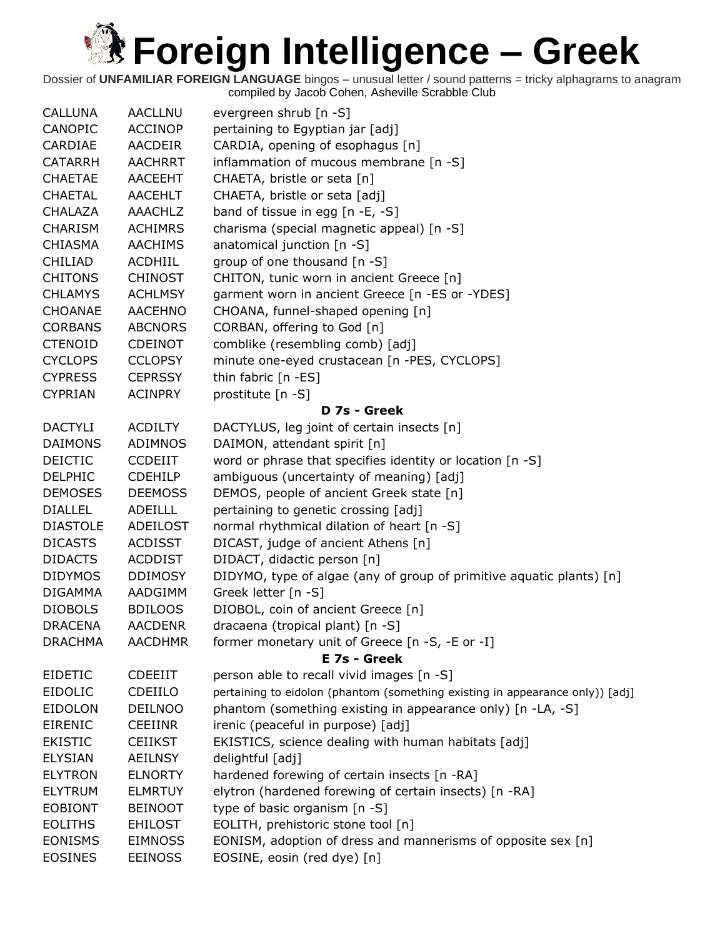| <b>CALLUNA</b>  | <b>AACLLNU</b> | evergreen shrub [n -S]                                                        |
|-----------------|----------------|-------------------------------------------------------------------------------|
| CANOPIC         | <b>ACCINOP</b> | pertaining to Egyptian jar [adj]                                              |
| CARDIAE         | AACDEIR        | CARDIA, opening of esophagus [n]                                              |
| <b>CATARRH</b>  | <b>AACHRRT</b> | inflammation of mucous membrane [n -S]                                        |
| <b>CHAETAE</b>  | <b>AACEEHT</b> | CHAETA, bristle or seta [n]                                                   |
| <b>CHAETAL</b>  | <b>AACEHLT</b> | CHAETA, bristle or seta [adj]                                                 |
| <b>CHALAZA</b>  | <b>AAACHLZ</b> | band of tissue in egg $[n -E, -S]$                                            |
| <b>CHARISM</b>  | <b>ACHIMRS</b> | charisma (special magnetic appeal) [n -S]                                     |
| <b>CHIASMA</b>  | <b>AACHIMS</b> | anatomical junction [n -S]                                                    |
| <b>CHILIAD</b>  | <b>ACDHIIL</b> | group of one thousand [n -S]                                                  |
| <b>CHITONS</b>  | <b>CHINOST</b> | CHITON, tunic worn in ancient Greece [n]                                      |
| <b>CHLAMYS</b>  | <b>ACHLMSY</b> | garment worn in ancient Greece [n -ES or -YDES]                               |
| CHOANAE         | <b>AACEHNO</b> | CHOANA, funnel-shaped opening [n]                                             |
| <b>CORBANS</b>  | <b>ABCNORS</b> | CORBAN, offering to God [n]                                                   |
| <b>CTENOID</b>  | <b>CDEINOT</b> | comblike (resembling comb) [adj]                                              |
| <b>CYCLOPS</b>  | <b>CCLOPSY</b> | minute one-eyed crustacean [n -PES, CYCLOPS]                                  |
| <b>CYPRESS</b>  | <b>CEPRSSY</b> | thin fabric [n -ES]                                                           |
| <b>CYPRIAN</b>  | <b>ACINPRY</b> | prostitute [n -S]                                                             |
|                 |                | D 7s - Greek                                                                  |
| <b>DACTYLI</b>  | <b>ACDILTY</b> | DACTYLUS, leg joint of certain insects [n]                                    |
| <b>DAIMONS</b>  | ADIMNOS        | DAIMON, attendant spirit [n]                                                  |
| <b>DEICTIC</b>  | <b>CCDEIIT</b> | word or phrase that specifies identity or location [n -S]                     |
| <b>DELPHIC</b>  | <b>CDEHILP</b> | ambiguous (uncertainty of meaning) [adj]                                      |
| <b>DEMOSES</b>  | <b>DEEMOSS</b> | DEMOS, people of ancient Greek state [n]                                      |
| <b>DIALLEL</b>  | <b>ADEILLL</b> | pertaining to genetic crossing [adj]                                          |
| <b>DIASTOLE</b> | ADEILOST       | normal rhythmical dilation of heart [n -S]                                    |
| <b>DICASTS</b>  | <b>ACDISST</b> | DICAST, judge of ancient Athens [n]                                           |
| <b>DIDACTS</b>  | <b>ACDDIST</b> | DIDACT, didactic person [n]                                                   |
| <b>DIDYMOS</b>  | <b>DDIMOSY</b> | DIDYMO, type of algae (any of group of primitive aquatic plants) [n]          |
| <b>DIGAMMA</b>  | AADGIMM        | Greek letter [n -S]                                                           |
| <b>DIOBOLS</b>  | <b>BDILOOS</b> | DIOBOL, coin of ancient Greece [n]                                            |
| <b>DRACENA</b>  | <b>AACDENR</b> | dracaena (tropical plant) [n -S]                                              |
| <b>DRACHMA</b>  | <b>AACDHMR</b> | former monetary unit of Greece [n -S, -E or -I]                               |
|                 |                | E 7s - Greek                                                                  |
| <b>EIDETIC</b>  | <b>CDEEIIT</b> | person able to recall vivid images [n -S]                                     |
| <b>EIDOLIC</b>  | CDEIILO        | pertaining to eidolon (phantom (something existing in appearance only)) [adj] |
| <b>EIDOLON</b>  | <b>DEILNOO</b> | phantom (something existing in appearance only) [n -LA, -S]                   |
| <b>EIRENIC</b>  | <b>CEEIINR</b> | irenic (peaceful in purpose) [adj]                                            |
| <b>EKISTIC</b>  | <b>CEIIKST</b> | EKISTICS, science dealing with human habitats [adj]                           |
| <b>ELYSIAN</b>  | <b>AEILNSY</b> | delightful [adj]                                                              |
| <b>ELYTRON</b>  | <b>ELNORTY</b> | hardened forewing of certain insects [n -RA]                                  |
| <b>ELYTRUM</b>  | <b>ELMRTUY</b> | elytron (hardened forewing of certain insects) [n -RA]                        |
| <b>EOBIONT</b>  | <b>BEINOOT</b> | type of basic organism [n -S]                                                 |
| <b>EOLITHS</b>  | <b>EHILOST</b> | EOLITH, prehistoric stone tool [n]                                            |
| <b>EONISMS</b>  | <b>EIMNOSS</b> | EONISM, adoption of dress and mannerisms of opposite sex [n]                  |
| <b>EOSINES</b>  | <b>EEINOSS</b> | EOSINE, eosin (red dye) [n]                                                   |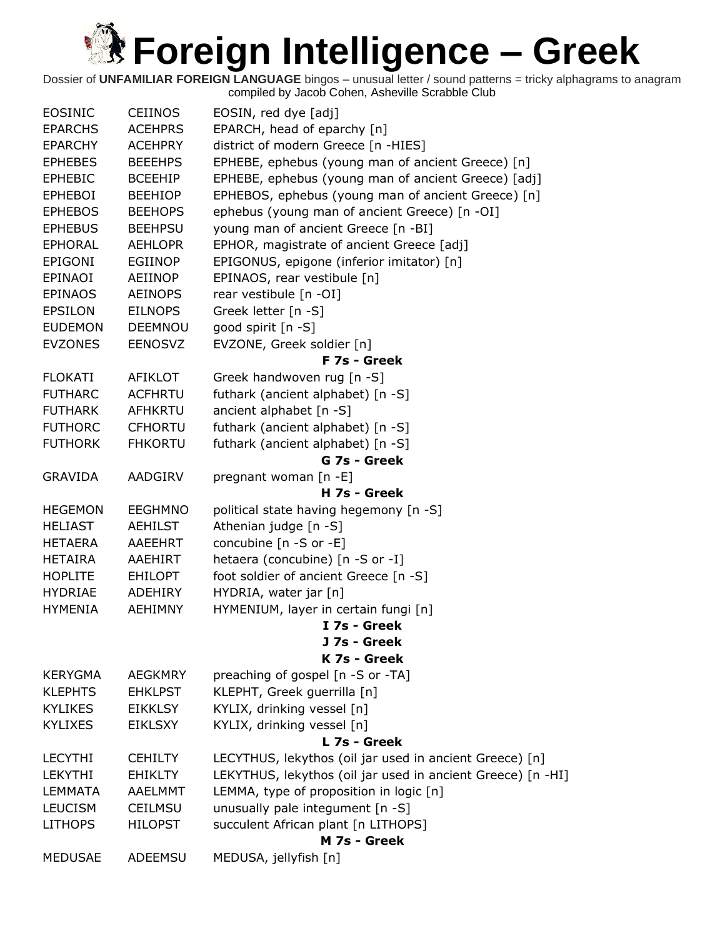| <b>EOSINIC</b> | <b>CEIINOS</b> | EOSIN, red dye [adj]                                        |
|----------------|----------------|-------------------------------------------------------------|
| <b>EPARCHS</b> | <b>ACEHPRS</b> | EPARCH, head of eparchy [n]                                 |
| <b>EPARCHY</b> | <b>ACEHPRY</b> | district of modern Greece [n -HIES]                         |
| <b>EPHEBES</b> | <b>BEEEHPS</b> | EPHEBE, ephebus (young man of ancient Greece) [n]           |
| <b>EPHEBIC</b> | <b>BCEEHIP</b> | EPHEBE, ephebus (young man of ancient Greece) [adj]         |
| <b>EPHEBOI</b> | <b>BEEHIOP</b> | EPHEBOS, ephebus (young man of ancient Greece) [n]          |
| <b>EPHEBOS</b> | <b>BEEHOPS</b> | ephebus (young man of ancient Greece) [n -OI]               |
| <b>EPHEBUS</b> | <b>BEEHPSU</b> | young man of ancient Greece [n -BI]                         |
| <b>EPHORAL</b> | <b>AEHLOPR</b> | EPHOR, magistrate of ancient Greece [adj]                   |
| EPIGONI        | <b>EGIINOP</b> | EPIGONUS, epigone (inferior imitator) [n]                   |
| EPINAOI        | <b>AEIINOP</b> | EPINAOS, rear vestibule [n]                                 |
| <b>EPINAOS</b> | <b>AEINOPS</b> | rear vestibule [n -OI]                                      |
| <b>EPSILON</b> | <b>EILNOPS</b> | Greek letter [n -S]                                         |
| <b>EUDEMON</b> | <b>DEEMNOU</b> | good spirit [n -S]                                          |
| <b>EVZONES</b> | <b>EENOSVZ</b> | EVZONE, Greek soldier [n]                                   |
|                |                | F 7s - Greek                                                |
| <b>FLOKATI</b> | <b>AFIKLOT</b> | Greek handwoven rug [n -S]                                  |
| <b>FUTHARC</b> | <b>ACFHRTU</b> | futhark (ancient alphabet) [n -S]                           |
| <b>FUTHARK</b> | <b>AFHKRTU</b> | ancient alphabet [n -S]                                     |
| <b>FUTHORC</b> | <b>CFHORTU</b> | futhark (ancient alphabet) [n -S]                           |
| <b>FUTHORK</b> | <b>FHKORTU</b> | futhark (ancient alphabet) [n -S]                           |
|                |                | G 7s - Greek                                                |
| <b>GRAVIDA</b> | AADGIRV        | pregnant woman [n -E]                                       |
|                |                | H 7s - Greek                                                |
| <b>HEGEMON</b> | <b>EEGHMNO</b> | political state having hegemony [n -S]                      |
| <b>HELIAST</b> | <b>AEHILST</b> | Athenian judge [n -S]                                       |
| <b>HETAERA</b> | AAEEHRT        | concubine [n -S or -E]                                      |
| <b>HETAIRA</b> | AAEHIRT        | hetaera (concubine) [n -S or -I]                            |
| <b>HOPLITE</b> | <b>EHILOPT</b> | foot soldier of ancient Greece [n -S]                       |
| <b>HYDRIAE</b> | <b>ADEHIRY</b> | HYDRIA, water jar [n]                                       |
| <b>HYMENIA</b> | <b>AEHIMNY</b> | HYMENIUM, layer in certain fungi [n]                        |
|                |                | I 7s - Greek                                                |
|                |                | J 7s - Greek                                                |
|                |                | K 7s - Greek                                                |
| <b>KERYGMA</b> | <b>AEGKMRY</b> | preaching of gospel [n -S or -TA]                           |
| <b>KLEPHTS</b> | <b>EHKLPST</b> | KLEPHT, Greek guerrilla [n]                                 |
| <b>KYLIKES</b> | <b>EIKKLSY</b> | KYLIX, drinking vessel [n]                                  |
| <b>KYLIXES</b> | <b>EIKLSXY</b> | KYLIX, drinking vessel [n]                                  |
|                |                | L 7s - Greek                                                |
| <b>LECYTHI</b> | <b>CEHILTY</b> | LECYTHUS, lekythos (oil jar used in ancient Greece) [n]     |
| <b>LEKYTHI</b> | <b>EHIKLTY</b> | LEKYTHUS, lekythos (oil jar used in ancient Greece) [n -HI] |
| <b>LEMMATA</b> | <b>AAELMMT</b> | LEMMA, type of proposition in logic [n]                     |
| <b>LEUCISM</b> | <b>CEILMSU</b> | unusually pale integument [n -S]                            |
| <b>LITHOPS</b> | <b>HILOPST</b> | succulent African plant [n LITHOPS]                         |
|                |                | M 7s - Greek                                                |
| <b>MEDUSAE</b> | ADEEMSU        | MEDUSA, jellyfish [n]                                       |
|                |                |                                                             |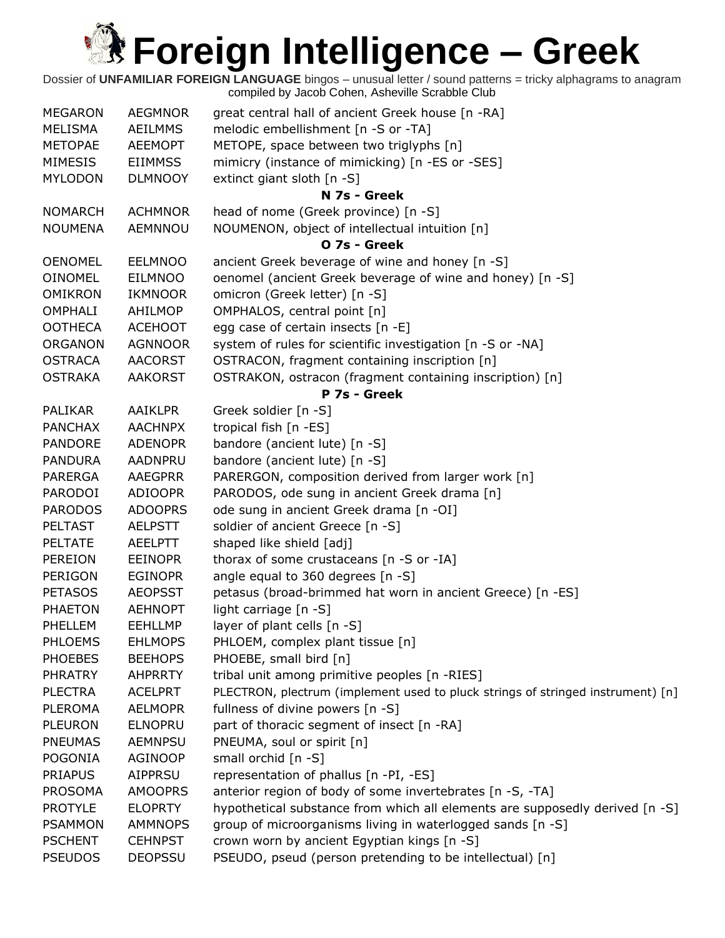| <b>MEGARON</b> | <b>AEGMNOR</b> | great central hall of ancient Greek house [n -RA]                               |
|----------------|----------------|---------------------------------------------------------------------------------|
| MELISMA        | <b>AEILMMS</b> | melodic embellishment [n -S or -TA]                                             |
| <b>METOPAE</b> | <b>AEEMOPT</b> | METOPE, space between two triglyphs [n]                                         |
| <b>MIMESIS</b> | <b>EIIMMSS</b> | mimicry (instance of mimicking) [n -ES or -SES]                                 |
| <b>MYLODON</b> | <b>DLMNOOY</b> | extinct giant sloth [n -S]                                                      |
|                |                | N 7s - Greek                                                                    |
| <b>NOMARCH</b> | <b>ACHMNOR</b> | head of nome (Greek province) [n -S]                                            |
| <b>NOUMENA</b> | AEMNNOU        | NOUMENON, object of intellectual intuition [n]                                  |
|                |                | O 7s - Greek                                                                    |
| <b>OENOMEL</b> | <b>EELMNOO</b> | ancient Greek beverage of wine and honey [n -S]                                 |
| <b>OINOMEL</b> | <b>EILMNOO</b> | oenomel (ancient Greek beverage of wine and honey) [n -S]                       |
| <b>OMIKRON</b> | <b>IKMNOOR</b> | omicron (Greek letter) [n -S]                                                   |
| <b>OMPHALI</b> | AHILMOP        | OMPHALOS, central point [n]                                                     |
| <b>OOTHECA</b> | <b>ACEHOOT</b> | egg case of certain insects [n -E]                                              |
| <b>ORGANON</b> | <b>AGNNOOR</b> | system of rules for scientific investigation [n -S or -NA]                      |
| <b>OSTRACA</b> | <b>AACORST</b> | OSTRACON, fragment containing inscription [n]                                   |
| <b>OSTRAKA</b> | <b>AAKORST</b> | OSTRAKON, ostracon (fragment containing inscription) [n]                        |
|                |                | P 7s - Greek                                                                    |
| <b>PALIKAR</b> | <b>AAIKLPR</b> | Greek soldier [n -S]                                                            |
| <b>PANCHAX</b> | <b>AACHNPX</b> | tropical fish [n -ES]                                                           |
| <b>PANDORE</b> | <b>ADENOPR</b> | bandore (ancient lute) [n -S]                                                   |
| <b>PANDURA</b> | <b>AADNPRU</b> | bandore (ancient lute) [n -S]                                                   |
| <b>PARERGA</b> | <b>AAEGPRR</b> | PARERGON, composition derived from larger work [n]                              |
| PARODOI        | <b>ADIOOPR</b> | PARODOS, ode sung in ancient Greek drama [n]                                    |
| <b>PARODOS</b> | <b>ADOOPRS</b> | ode sung in ancient Greek drama [n -OI]                                         |
| <b>PELTAST</b> | <b>AELPSTT</b> | soldier of ancient Greece [n -S]                                                |
| <b>PELTATE</b> | <b>AEELPTT</b> | shaped like shield [adj]                                                        |
| <b>PEREION</b> | <b>EEINOPR</b> | thorax of some crustaceans [n -S or -IA]                                        |
| PERIGON        | <b>EGINOPR</b> | angle equal to 360 degrees [n -S]                                               |
| <b>PETASOS</b> | <b>AEOPSST</b> | petasus (broad-brimmed hat worn in ancient Greece) [n -ES]                      |
| <b>PHAETON</b> | <b>AEHNOPT</b> | light carriage [n -S]                                                           |
| PHELLEM        | <b>EEHLLMP</b> | layer of plant cells [n -S]                                                     |
| <b>PHLOEMS</b> | <b>EHLMOPS</b> | PHLOEM, complex plant tissue [n]                                                |
| <b>PHOEBES</b> | <b>BEEHOPS</b> | PHOEBE, small bird [n]                                                          |
| <b>PHRATRY</b> | <b>AHPRRTY</b> | tribal unit among primitive peoples [n -RIES]                                   |
| <b>PLECTRA</b> | <b>ACELPRT</b> | PLECTRON, plectrum (implement used to pluck strings of stringed instrument) [n] |
| <b>PLEROMA</b> | <b>AELMOPR</b> | fullness of divine powers [n -S]                                                |
| <b>PLEURON</b> | <b>ELNOPRU</b> | part of thoracic segment of insect [n -RA]                                      |
| <b>PNEUMAS</b> | <b>AEMNPSU</b> | PNEUMA, soul or spirit [n]                                                      |
| <b>POGONIA</b> | <b>AGINOOP</b> | small orchid [n -S]                                                             |
| <b>PRIAPUS</b> | <b>AIPPRSU</b> | representation of phallus [n -PI, -ES]                                          |
| <b>PROSOMA</b> | <b>AMOOPRS</b> | anterior region of body of some invertebrates [n -S, -TA]                       |
| <b>PROTYLE</b> | <b>ELOPRTY</b> | hypothetical substance from which all elements are supposedly derived [n -S]    |
| <b>PSAMMON</b> | <b>AMMNOPS</b> | group of microorganisms living in waterlogged sands [n -S]                      |
| <b>PSCHENT</b> | <b>CEHNPST</b> | crown worn by ancient Egyptian kings [n -S]                                     |
| <b>PSEUDOS</b> | <b>DEOPSSU</b> | PSEUDO, pseud (person pretending to be intellectual) [n]                        |
|                |                |                                                                                 |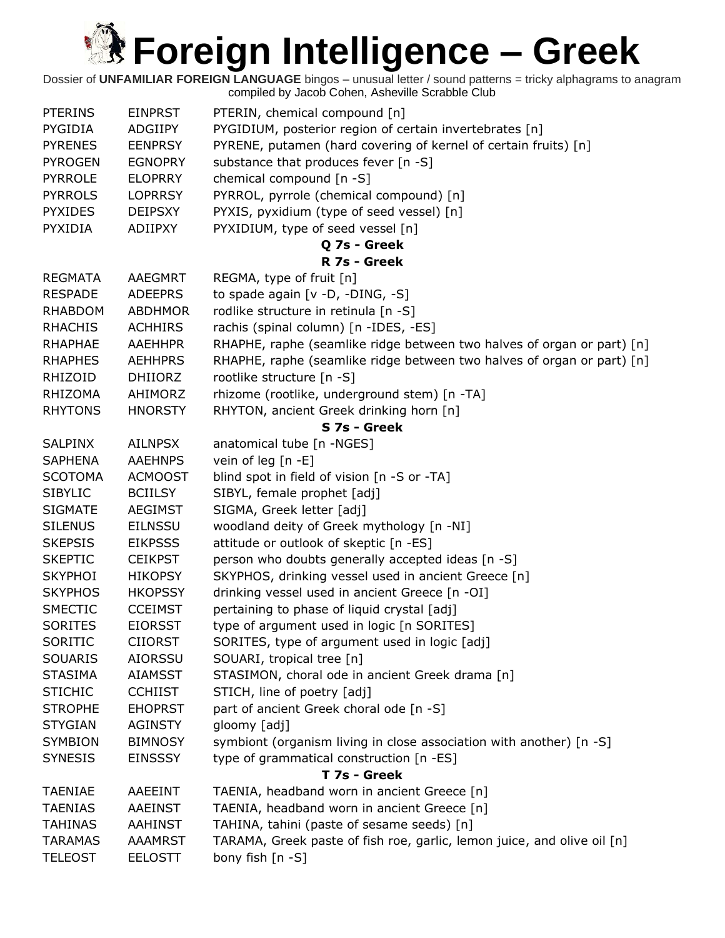| <b>PTERINS</b> | <b>EINPRST</b> | PTERIN, chemical compound [n]                                                                                   |
|----------------|----------------|-----------------------------------------------------------------------------------------------------------------|
| PYGIDIA        | ADGIIPY        | PYGIDIUM, posterior region of certain invertebrates [n]                                                         |
| <b>PYRENES</b> | <b>EENPRSY</b> | PYRENE, putamen (hard covering of kernel of certain fruits) [n]                                                 |
| <b>PYROGEN</b> | <b>EGNOPRY</b> | substance that produces fever [n -S]                                                                            |
| <b>PYRROLE</b> | <b>ELOPRRY</b> | chemical compound [n -S]                                                                                        |
| <b>PYRROLS</b> | <b>LOPRRSY</b> | PYRROL, pyrrole (chemical compound) [n]                                                                         |
| <b>PYXIDES</b> | <b>DEIPSXY</b> | PYXIS, pyxidium (type of seed vessel) [n]                                                                       |
| PYXIDIA        | ADIIPXY        | PYXIDIUM, type of seed vessel [n]                                                                               |
|                |                | Q 7s - Greek                                                                                                    |
|                |                | R 7s - Greek                                                                                                    |
| <b>REGMATA</b> | <b>AAEGMRT</b> | REGMA, type of fruit [n]                                                                                        |
| <b>RESPADE</b> | <b>ADEEPRS</b> | to spade again [v -D, -DING, -S]                                                                                |
| <b>RHABDOM</b> | <b>ABDHMOR</b> | rodlike structure in retinula [n -S]                                                                            |
| <b>RHACHIS</b> | <b>ACHHIRS</b> | rachis (spinal column) [n -IDES, -ES]                                                                           |
| <b>RHAPHAE</b> | <b>AAEHHPR</b> | RHAPHE, raphe (seamlike ridge between two halves of organ or part) [n]                                          |
| <b>RHAPHES</b> | <b>AEHHPRS</b> | RHAPHE, raphe (seamlike ridge between two halves of organ or part) [n]                                          |
| RHIZOID        | <b>DHIIORZ</b> | rootlike structure [n -S]                                                                                       |
| <b>RHIZOMA</b> | AHIMORZ        | rhizome (rootlike, underground stem) [n -TA]                                                                    |
| <b>RHYTONS</b> | <b>HNORSTY</b> | RHYTON, ancient Greek drinking horn [n]                                                                         |
|                |                | S 7s - Greek                                                                                                    |
| <b>SALPINX</b> | <b>AILNPSX</b> | anatomical tube [n -NGES]                                                                                       |
| <b>SAPHENA</b> | <b>AAEHNPS</b> | vein of leg $[n -E]$                                                                                            |
| <b>SCOTOMA</b> | <b>ACMOOST</b> | blind spot in field of vision [n -S or -TA]                                                                     |
| <b>SIBYLIC</b> | <b>BCIILSY</b> | SIBYL, female prophet [adj]                                                                                     |
| <b>SIGMATE</b> | <b>AEGIMST</b> | SIGMA, Greek letter [adj]                                                                                       |
| <b>SILENUS</b> | <b>EILNSSU</b> | woodland deity of Greek mythology [n -NI]                                                                       |
| <b>SKEPSIS</b> | <b>EIKPSSS</b> | attitude or outlook of skeptic [n -ES]                                                                          |
| <b>SKEPTIC</b> | <b>CEIKPST</b> | person who doubts generally accepted ideas [n -S]                                                               |
| <b>SKYPHOI</b> | <b>HIKOPSY</b> | SKYPHOS, drinking vessel used in ancient Greece [n]                                                             |
| <b>SKYPHOS</b> | <b>HKOPSSY</b> | drinking vessel used in ancient Greece [n -OI]                                                                  |
| <b>SMECTIC</b> | <b>CCEIMST</b> | pertaining to phase of liquid crystal [adj]                                                                     |
| <b>SORITES</b> | <b>EIORSST</b> | type of argument used in logic [n SORITES]                                                                      |
| SORITIC        | <b>CIIORST</b> | SORITES, type of argument used in logic [adj]                                                                   |
| <b>SOUARIS</b> | <b>AIORSSU</b> | SOUARI, tropical tree [n]                                                                                       |
| <b>STASIMA</b> | <b>AIAMSST</b> | STASIMON, choral ode in ancient Greek drama [n]                                                                 |
| <b>STICHIC</b> | <b>CCHIIST</b> | STICH, line of poetry [adj]                                                                                     |
| <b>STROPHE</b> | <b>EHOPRST</b> | part of ancient Greek choral ode [n -S]                                                                         |
| <b>STYGIAN</b> | <b>AGINSTY</b> | gloomy [adj]                                                                                                    |
| <b>SYMBION</b> |                |                                                                                                                 |
|                | <b>BIMNOSY</b> | symbiont (organism living in close association with another) [n -S]<br>type of grammatical construction [n -ES] |
| <b>SYNESIS</b> | <b>EINSSSY</b> | T 7s - Greek                                                                                                    |
| <b>TAENIAE</b> | AAEEINT        | TAENIA, headband worn in ancient Greece [n]                                                                     |
| <b>TAENIAS</b> | <b>AAEINST</b> | TAENIA, headband worn in ancient Greece [n]                                                                     |
| <b>TAHINAS</b> |                |                                                                                                                 |
|                | <b>AAHINST</b> | TAHINA, tahini (paste of sesame seeds) [n]                                                                      |
| <b>TARAMAS</b> | <b>AAAMRST</b> | TARAMA, Greek paste of fish roe, garlic, lemon juice, and olive oil [n]                                         |
| <b>TELEOST</b> | <b>EELOSTT</b> | bony fish [n -S]                                                                                                |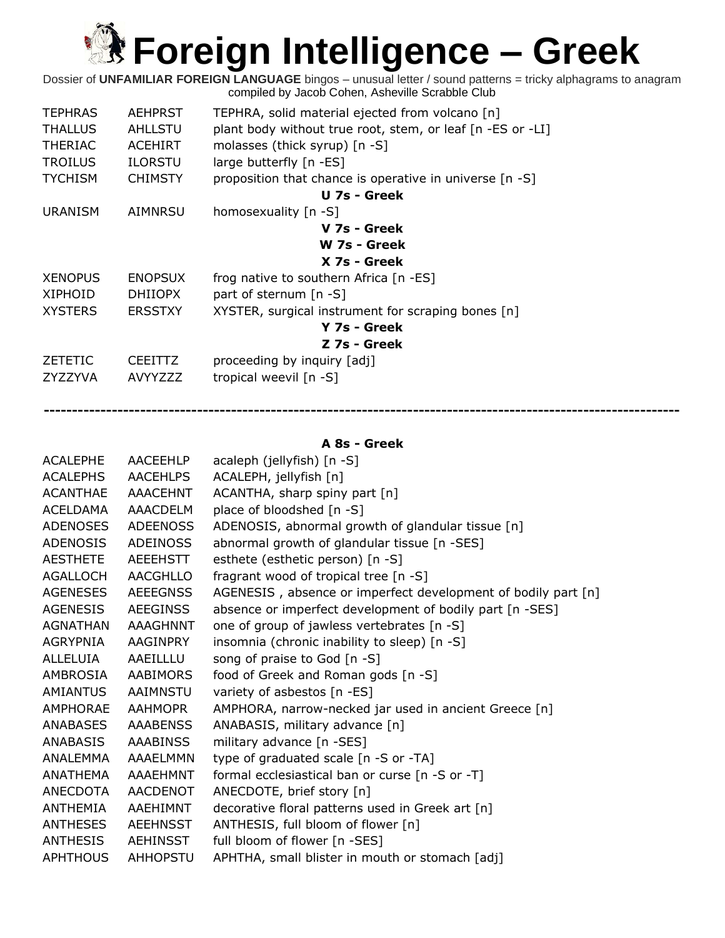Dossier of **UNFAMILIAR FOREIGN LANGUAGE** bingos – unusual letter / sound patterns = tricky alphagrams to anagram compiled by Jacob Cohen, Asheville Scrabble Club

| <b>TEPHRAS</b> | <b>AEHPRST</b> | TEPHRA, solid material ejected from volcano [n]            |
|----------------|----------------|------------------------------------------------------------|
| <b>THALLUS</b> | <b>AHLLSTU</b> | plant body without true root, stem, or leaf [n -ES or -LI] |
| <b>THERIAC</b> | <b>ACEHIRT</b> | molasses (thick syrup) [n -S]                              |
| <b>TROILUS</b> | <b>ILORSTU</b> | large butterfly [n -ES]                                    |
| <b>TYCHISM</b> | <b>CHIMSTY</b> | proposition that chance is operative in universe [n -S]    |
|                |                | U 7s - Greek                                               |
| <b>URANISM</b> | AIMNRSU        | homosexuality [n -S]                                       |
|                |                | V 7s - Greek                                               |
|                |                | W 7s - Greek                                               |
|                |                | X 7s - Greek                                               |
| <b>XENOPUS</b> | <b>ENOPSUX</b> | frog native to southern Africa [n -ES]                     |
| <b>XIPHOID</b> | <b>DHIIOPX</b> | part of sternum [n -S]                                     |
| <b>XYSTERS</b> | <b>ERSSTXY</b> | XYSTER, surgical instrument for scraping bones [n]         |
|                |                | Y 7s - Greek                                               |
|                |                | Z 7s - Greek                                               |
| <b>ZETETIC</b> | <b>CEEITTZ</b> | proceeding by inquiry [adj]                                |
| ZYZZYVA        | <b>AVYYZZZ</b> | tropical weevil [n -S]                                     |
|                |                |                                                            |

#### **A 8s - Greek**

**----------------------------------------------------------------------------------------------------------------**

| <b>ACALEPHE</b> | AACEEHLP        | acaleph (jellyfish) [n -S]                                    |
|-----------------|-----------------|---------------------------------------------------------------|
| <b>ACALEPHS</b> | <b>AACEHLPS</b> | ACALEPH, jellyfish [n]                                        |
| <b>ACANTHAE</b> | AAACEHNT        | ACANTHA, sharp spiny part [n]                                 |
| <b>ACELDAMA</b> | <b>AAACDELM</b> | place of bloodshed [n -S]                                     |
| <b>ADENOSES</b> | <b>ADEENOSS</b> | ADENOSIS, abnormal growth of glandular tissue [n]             |
| <b>ADENOSIS</b> | <b>ADEINOSS</b> | abnormal growth of glandular tissue [n -SES]                  |
| <b>AESTHETE</b> | AEEEHSTT        | esthete (esthetic person) [n -S]                              |
| <b>AGALLOCH</b> | AACGHLLO        | fragrant wood of tropical tree [n -S]                         |
| <b>AGENESES</b> | <b>AEEEGNSS</b> | AGENESIS, absence or imperfect development of bodily part [n] |
| <b>AGENESIS</b> | <b>AEEGINSS</b> | absence or imperfect development of bodily part [n -SES]      |
| <b>AGNATHAN</b> | <b>AAAGHNNT</b> | one of group of jawless vertebrates [n -S]                    |
| AGRYPNIA        | AAGINPRY        | insomnia (chronic inability to sleep) [n -S]                  |
| ALLELUIA        | AAEILLLU        | song of praise to God [n -S]                                  |
| AMBROSIA        | AABIMORS        | food of Greek and Roman gods [n -S]                           |
| <b>AMIANTUS</b> | AAIMNSTU        | variety of asbestos [n -ES]                                   |
| <b>AMPHORAE</b> | AAHMOPR         | AMPHORA, narrow-necked jar used in ancient Greece [n]         |
| <b>ANABASES</b> | <b>AAABENSS</b> | ANABASIS, military advance [n]                                |
| ANABASIS        | <b>AAABINSS</b> | military advance [n -SES]                                     |
| <b>ANALEMMA</b> | AAAELMMN        | type of graduated scale [n -S or -TA]                         |
| <b>ANATHEMA</b> | <b>AAAEHMNT</b> | formal ecclesiastical ban or curse [n -S or -T]               |
| ANECDOTA        | <b>AACDENOT</b> | ANECDOTE, brief story [n]                                     |
| ANTHEMIA        | AAEHIMNT        | decorative floral patterns used in Greek art [n]              |
| <b>ANTHESES</b> | <b>AEEHNSST</b> | ANTHESIS, full bloom of flower [n]                            |
| <b>ANTHESIS</b> | AEHINSST        | full bloom of flower [n -SES]                                 |
| <b>APHTHOUS</b> | AHHOPSTU        | APHTHA, small blister in mouth or stomach [adj]               |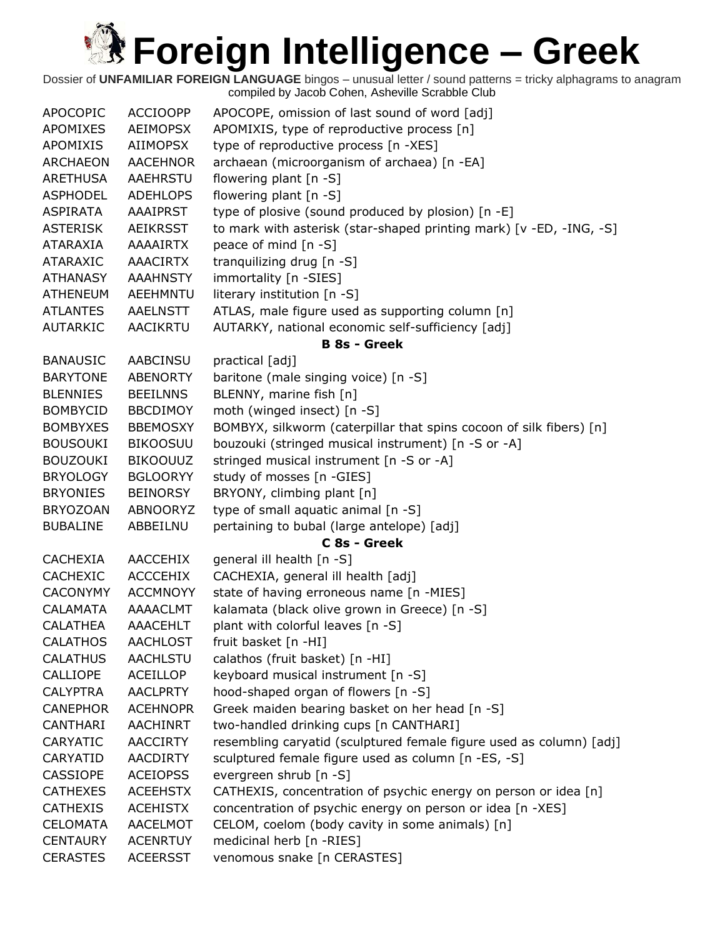| <b>APOCOPIC</b> | <b>ACCIOOPP</b> | APOCOPE, omission of last sound of word [adj]                       |
|-----------------|-----------------|---------------------------------------------------------------------|
| APOMIXES        | <b>AEIMOPSX</b> | APOMIXIS, type of reproductive process [n]                          |
| APOMIXIS        | AIIMOPSX        | type of reproductive process [n -XES]                               |
| <b>ARCHAEON</b> | <b>AACEHNOR</b> | archaean (microorganism of archaea) [n -EA]                         |
| ARETHUSA        | <b>AAEHRSTU</b> | flowering plant [n -S]                                              |
| <b>ASPHODEL</b> | <b>ADEHLOPS</b> | flowering plant [n -S]                                              |
| ASPIRATA        | <b>AAAIPRST</b> | type of plosive (sound produced by plosion) [n -E]                  |
| <b>ASTERISK</b> | <b>AEIKRSST</b> | to mark with asterisk (star-shaped printing mark) [v -ED, -ING, -S] |
| ATARAXIA        | <b>AAAAIRTX</b> | peace of mind [n -S]                                                |
| ATARAXIC        | <b>AAACIRTX</b> | tranguilizing drug [n -S]                                           |
| <b>ATHANASY</b> | <b>AAAHNSTY</b> | immortality [n -SIES]                                               |
| <b>ATHENEUM</b> | AEEHMNTU        | literary institution [n -S]                                         |
| <b>ATLANTES</b> | <b>AAELNSTT</b> | ATLAS, male figure used as supporting column [n]                    |
| <b>AUTARKIC</b> | <b>AACIKRTU</b> | AUTARKY, national economic self-sufficiency [adj]                   |
|                 |                 | <b>B 8s - Greek</b>                                                 |
| <b>BANAUSIC</b> | AABCINSU        | practical [adj]                                                     |
| <b>BARYTONE</b> |                 |                                                                     |
|                 | <b>ABENORTY</b> | baritone (male singing voice) [n -S]                                |
| <b>BLENNIES</b> | <b>BEEILNNS</b> | BLENNY, marine fish [n]                                             |
| <b>BOMBYCID</b> | <b>BBCDIMOY</b> | moth (winged insect) [n -S]                                         |
| <b>BOMBYXES</b> | <b>BBEMOSXY</b> | BOMBYX, silkworm (caterpillar that spins cocoon of silk fibers) [n] |
| <b>BOUSOUKI</b> | <b>BIKOOSUU</b> | bouzouki (stringed musical instrument) [n -S or -A]                 |
| <b>BOUZOUKI</b> | <b>BIKOOUUZ</b> | stringed musical instrument [n -S or -A]                            |
| <b>BRYOLOGY</b> | <b>BGLOORYY</b> | study of mosses [n -GIES]                                           |
| <b>BRYONIES</b> | <b>BEINORSY</b> | BRYONY, climbing plant [n]                                          |
| <b>BRYOZOAN</b> | ABNOORYZ        | type of small aquatic animal [n -S]                                 |
| <b>BUBALINE</b> | ABBEILNU        | pertaining to bubal (large antelope) [adj]                          |
|                 |                 | C 8s - Greek                                                        |
| <b>CACHEXIA</b> | AACCEHIX        | general ill health [n -S]                                           |
| <b>CACHEXIC</b> | <b>ACCCEHIX</b> | CACHEXIA, general ill health [adj]                                  |
| <b>CACONYMY</b> | <b>ACCMNOYY</b> | state of having erroneous name [n -MIES]                            |
| <b>CALAMATA</b> | AAAACLMT        | kalamata (black olive grown in Greece) [n -S]                       |
| <b>CALATHEA</b> | <b>AAACEHLT</b> | plant with colorful leaves [n -S]                                   |
| <b>CALATHOS</b> | <b>AACHLOST</b> | fruit basket [n -HI]                                                |
| <b>CALATHUS</b> | <b>AACHLSTU</b> | calathos (fruit basket) [n -HI]                                     |
| CALLIOPE        | ACEILLOP        | keyboard musical instrument [n -S]                                  |
| <b>CALYPTRA</b> | <b>AACLPRTY</b> | hood-shaped organ of flowers [n -S]                                 |
| <b>CANEPHOR</b> | <b>ACEHNOPR</b> | Greek maiden bearing basket on her head [n -S]                      |
| CANTHARI        | <b>AACHINRT</b> | two-handled drinking cups [n CANTHARI]                              |
| <b>CARYATIC</b> | <b>AACCIRTY</b> | resembling caryatid (sculptured female figure used as column) [adj] |
| CARYATID        | <b>AACDIRTY</b> | sculptured female figure used as column [n -ES, -S]                 |
| <b>CASSIOPE</b> | <b>ACEIOPSS</b> | evergreen shrub [n -S]                                              |
| <b>CATHEXES</b> | <b>ACEEHSTX</b> | CATHEXIS, concentration of psychic energy on person or idea [n]     |
| <b>CATHEXIS</b> | <b>ACEHISTX</b> | concentration of psychic energy on person or idea [n -XES]          |
| <b>CELOMATA</b> | AACELMOT        | CELOM, coelom (body cavity in some animals) [n]                     |
| <b>CENTAURY</b> | <b>ACENRTUY</b> | medicinal herb [n -RIES]                                            |
| <b>CERASTES</b> | <b>ACEERSST</b> | venomous snake [n CERASTES]                                         |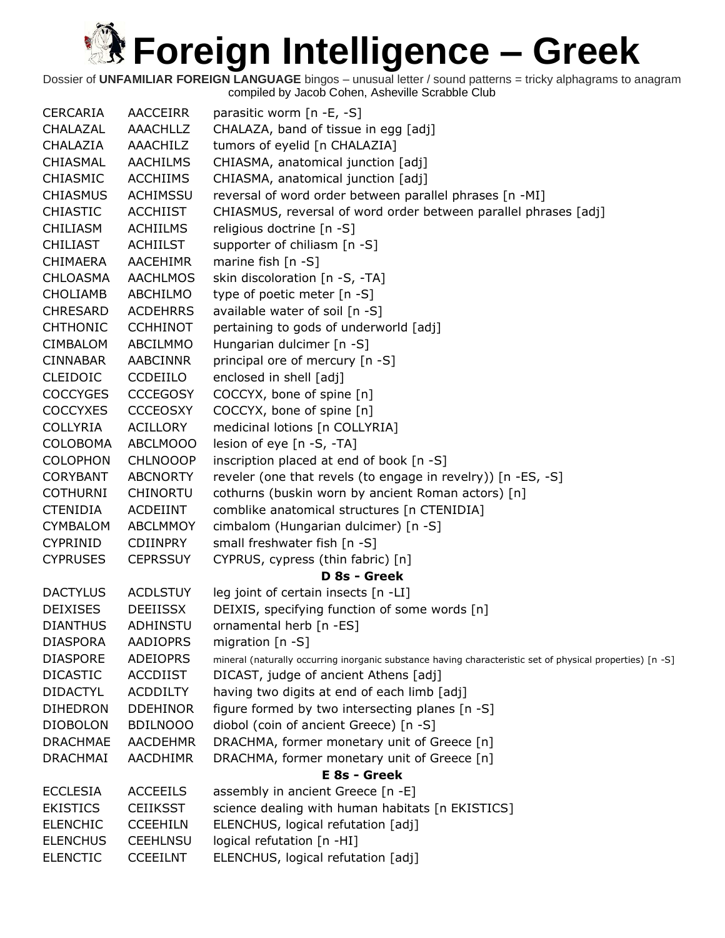### **Referred Street Englisher Act all alternal contents to alternal contents to alternal contents.** XX

| <b>CERCARIA</b> | <b>AACCEIRR</b> | parasitic worm [n -E, -S]                                                                                 |
|-----------------|-----------------|-----------------------------------------------------------------------------------------------------------|
| CHALAZAL        | AAACHLLZ        | CHALAZA, band of tissue in egg [adj]                                                                      |
| CHALAZIA        | AAACHILZ        | tumors of eyelid [n CHALAZIA]                                                                             |
| CHIASMAL        | <b>AACHILMS</b> | CHIASMA, anatomical junction [adj]                                                                        |
| <b>CHIASMIC</b> | <b>ACCHIIMS</b> | CHIASMA, anatomical junction [adj]                                                                        |
| <b>CHIASMUS</b> | <b>ACHIMSSU</b> | reversal of word order between parallel phrases [n -MI]                                                   |
| <b>CHIASTIC</b> | <b>ACCHIIST</b> | CHIASMUS, reversal of word order between parallel phrases [adj]                                           |
| <b>CHILIASM</b> | <b>ACHIILMS</b> | religious doctrine [n -S]                                                                                 |
| <b>CHILIAST</b> | <b>ACHIILST</b> | supporter of chiliasm $[n - S]$                                                                           |
| <b>CHIMAERA</b> | <b>AACEHIMR</b> | marine fish $[n - S]$                                                                                     |
| <b>CHLOASMA</b> | <b>AACHLMOS</b> | skin discoloration [n -S, -TA]                                                                            |
| <b>CHOLIAMB</b> | ABCHILMO        | type of poetic meter [n -S]                                                                               |
| <b>CHRESARD</b> | <b>ACDEHRRS</b> | available water of soil [n -S]                                                                            |
| <b>CHTHONIC</b> | <b>CCHHINOT</b> | pertaining to gods of underworld [adj]                                                                    |
| <b>CIMBALOM</b> | ABCILMMO        | Hungarian dulcimer [n -S]                                                                                 |
| <b>CINNABAR</b> | <b>AABCINNR</b> | principal ore of mercury [n -S]                                                                           |
| <b>CLEIDOIC</b> | <b>CCDEIILO</b> | enclosed in shell [adj]                                                                                   |
| <b>COCCYGES</b> | <b>CCCEGOSY</b> | COCCYX, bone of spine [n]                                                                                 |
| <b>COCCYXES</b> | <b>CCCEOSXY</b> | COCCYX, bone of spine [n]                                                                                 |
| <b>COLLYRIA</b> | <b>ACILLORY</b> | medicinal lotions [n COLLYRIA]                                                                            |
| <b>COLOBOMA</b> | ABCLMOOO        | lesion of eye [n -S, -TA]                                                                                 |
| <b>COLOPHON</b> | <b>CHLNOOOP</b> | inscription placed at end of book [n -S]                                                                  |
| <b>CORYBANT</b> | <b>ABCNORTY</b> | reveler (one that revels (to engage in revelry)) [n -ES, -S]                                              |
| <b>COTHURNI</b> | <b>CHINORTU</b> | cothurns (buskin worn by ancient Roman actors) [n]                                                        |
| <b>CTENIDIA</b> | ACDEIINT        | comblike anatomical structures [n CTENIDIA]                                                               |
| <b>CYMBALOM</b> | ABCLMMOY        | cimbalom (Hungarian dulcimer) [n -S]                                                                      |
| <b>CYPRINID</b> | <b>CDIINPRY</b> | small freshwater fish [n -S]                                                                              |
| <b>CYPRUSES</b> | <b>CEPRSSUY</b> | CYPRUS, cypress (thin fabric) [n]                                                                         |
|                 |                 | D 8s - Greek                                                                                              |
| <b>DACTYLUS</b> | <b>ACDLSTUY</b> | leg joint of certain insects [n -LI]                                                                      |
| <b>DEIXISES</b> | <b>DEEIISSX</b> | DEIXIS, specifying function of some words [n]                                                             |
| <b>DIANTHUS</b> | ADHINSTU        | ornamental herb [n -ES]                                                                                   |
| <b>DIASPORA</b> | <b>AADIOPRS</b> | migration $[n - S]$                                                                                       |
| <b>DIASPORE</b> | ADEIOPRS        | mineral (naturally occurring inorganic substance having characteristic set of physical properties) [n -S] |
| <b>DICASTIC</b> | <b>ACCDIIST</b> | DICAST, judge of ancient Athens [adj]                                                                     |
| <b>DIDACTYL</b> | <b>ACDDILTY</b> | having two digits at end of each limb [adj]                                                               |
| <b>DIHEDRON</b> | <b>DDEHINOR</b> | figure formed by two intersecting planes [n -S]                                                           |
| <b>DIOBOLON</b> | <b>BDILNOOO</b> | diobol (coin of ancient Greece) [n -S]                                                                    |
| <b>DRACHMAE</b> | <b>AACDEHMR</b> | DRACHMA, former monetary unit of Greece [n]                                                               |
| <b>DRACHMAI</b> | AACDHIMR        | DRACHMA, former monetary unit of Greece [n]                                                               |
|                 |                 | E 8s - Greek                                                                                              |
| <b>ECCLESIA</b> | <b>ACCEEILS</b> | assembly in ancient Greece [n -E]                                                                         |
| <b>EKISTICS</b> | <b>CEIIKSST</b> | science dealing with human habitats [n EKISTICS]                                                          |
| <b>ELENCHIC</b> | <b>CCEEHILN</b> | ELENCHUS, logical refutation [adj]                                                                        |
| <b>ELENCHUS</b> | <b>CEEHLNSU</b> | logical refutation [n -HI]                                                                                |
| <b>ELENCTIC</b> | <b>CCEEILNT</b> | ELENCHUS, logical refutation [adj]                                                                        |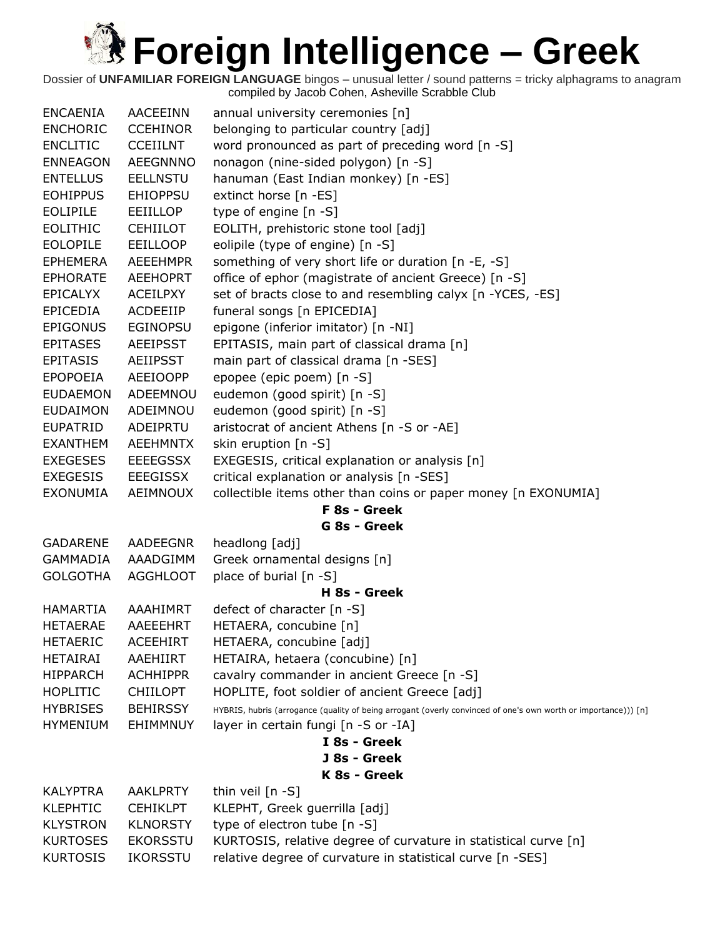| <b>ENCAENIA</b> | <b>AACEEINN</b> | annual university ceremonies [n]                                                                               |
|-----------------|-----------------|----------------------------------------------------------------------------------------------------------------|
| <b>ENCHORIC</b> | <b>CCEHINOR</b> | belonging to particular country [adj]                                                                          |
| <b>ENCLITIC</b> | <b>CCEIILNT</b> | word pronounced as part of preceding word [n -S]                                                               |
| <b>ENNEAGON</b> | <b>AEEGNNNO</b> | nonagon (nine-sided polygon) [n -S]                                                                            |
| <b>ENTELLUS</b> | <b>EELLNSTU</b> | hanuman (East Indian monkey) [n -ES]                                                                           |
| <b>EOHIPPUS</b> | <b>EHIOPPSU</b> | extinct horse [n -ES]                                                                                          |
| <b>EOLIPILE</b> | EEIILLOP        | type of engine [n -S]                                                                                          |
| <b>EOLITHIC</b> | <b>CEHIILOT</b> | EOLITH, prehistoric stone tool [adj]                                                                           |
| <b>EOLOPILE</b> | <b>EEILLOOP</b> | eolipile (type of engine) [n -S]                                                                               |
| <b>EPHEMERA</b> | <b>AEEEHMPR</b> | something of very short life or duration [n -E, -S]                                                            |
| <b>EPHORATE</b> | <b>AEEHOPRT</b> | office of ephor (magistrate of ancient Greece) [n -S]                                                          |
| <b>EPICALYX</b> | <b>ACEILPXY</b> | set of bracts close to and resembling calyx [n -YCES, -ES]                                                     |
| <b>EPICEDIA</b> | ACDEEIIP        | funeral songs [n EPICEDIA]                                                                                     |
| <b>EPIGONUS</b> | <b>EGINOPSU</b> | epigone (inferior imitator) [n -NI]                                                                            |
| <b>EPITASES</b> | <b>AEEIPSST</b> | EPITASIS, main part of classical drama [n]                                                                     |
| <b>EPITASIS</b> | <b>AEIIPSST</b> | main part of classical drama [n -SES]                                                                          |
| <b>EPOPOEIA</b> | <b>AEEIOOPP</b> | epopee (epic poem) [n -S]                                                                                      |
| <b>EUDAEMON</b> | ADEEMNOU        | eudemon (good spirit) [n -S]                                                                                   |
| <b>EUDAIMON</b> | ADEIMNOU        | eudemon (good spirit) [n -S]                                                                                   |
| <b>EUPATRID</b> | ADEIPRTU        | aristocrat of ancient Athens [n -S or -AE]                                                                     |
| <b>EXANTHEM</b> | <b>AEEHMNTX</b> | skin eruption $[n -S]$                                                                                         |
| <b>EXEGESES</b> | <b>EEEEGSSX</b> | EXEGESIS, critical explanation or analysis [n]                                                                 |
| <b>EXEGESIS</b> | EEEGISSX        | critical explanation or analysis [n -SES]                                                                      |
| <b>EXONUMIA</b> | AEIMNOUX        | collectible items other than coins or paper money [n EXONUMIA]                                                 |
|                 |                 | F 8s - Greek                                                                                                   |
|                 |                 | G 8s - Greek                                                                                                   |
| <b>GADARENE</b> | AADEEGNR        | headlong [adj]                                                                                                 |
| <b>GAMMADIA</b> | AAADGIMM        | Greek ornamental designs [n]                                                                                   |
| <b>GOLGOTHA</b> | <b>AGGHLOOT</b> | place of burial [n -S]                                                                                         |
|                 |                 | H 8s - Greek                                                                                                   |
| <b>HAMARTIA</b> | AAAHIMRT        | defect of character $[n - S]$                                                                                  |
| <b>HETAERAE</b> | AAEEEHRT        | HETAERA, concubine [n]                                                                                         |
| <b>HETAERIC</b> | <b>ACEEHIRT</b> | HETAERA, concubine [adj]                                                                                       |
| <b>HETAIRAI</b> | AAEHIIRT        | HETAIRA, hetaera (concubine) [n]                                                                               |
| <b>HIPPARCH</b> | <b>ACHHIPPR</b> | cavalry commander in ancient Greece [n -S]                                                                     |
| <b>HOPLITIC</b> | <b>CHIILOPT</b> | HOPLITE, foot soldier of ancient Greece [adj]                                                                  |
| <b>HYBRISES</b> | <b>BEHIRSSY</b> | HYBRIS, hubris (arrogance (quality of being arrogant (overly convinced of one's own worth or importance))) [n] |
| <b>HYMENIUM</b> | EHIMMNUY        | layer in certain fungi [n -S or -IA]                                                                           |
|                 |                 | I 8s - Greek                                                                                                   |
|                 |                 | J 8s - Greek                                                                                                   |
|                 |                 | K 8s - Greek                                                                                                   |
| <b>KALYPTRA</b> | <b>AAKLPRTY</b> | thin veil [n -S]                                                                                               |
| <b>KLEPHTIC</b> | <b>CEHIKLPT</b> | KLEPHT, Greek guerrilla [adj]                                                                                  |
| <b>KLYSTRON</b> | <b>KLNORSTY</b> | type of electron tube [n -S]                                                                                   |
| <b>KURTOSES</b> | <b>EKORSSTU</b> | KURTOSIS, relative degree of curvature in statistical curve [n]                                                |
| <b>KURTOSIS</b> | <b>IKORSSTU</b> | relative degree of curvature in statistical curve [n -SES]                                                     |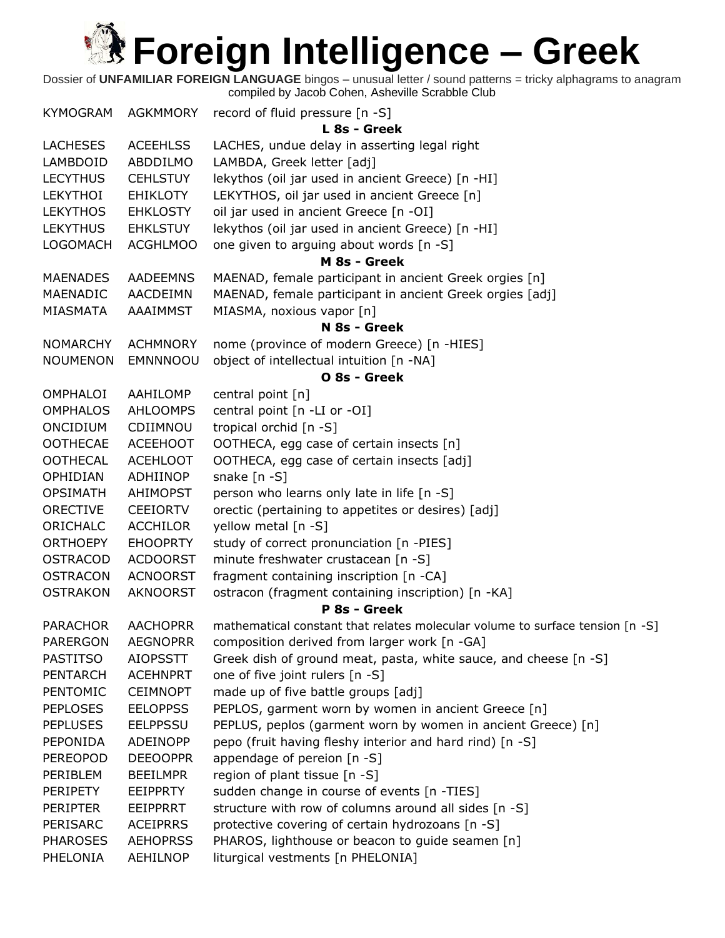| KYMOGRAM        | AGKMMORY        | record of fluid pressure [n -S]                                               |
|-----------------|-----------------|-------------------------------------------------------------------------------|
|                 |                 | L 8s - Greek                                                                  |
| <b>LACHESES</b> | <b>ACEEHLSS</b> | LACHES, undue delay in asserting legal right                                  |
| LAMBDOID        | ABDDILMO        | LAMBDA, Greek letter [adj]                                                    |
| <b>LECYTHUS</b> | <b>CEHLSTUY</b> | lekythos (oil jar used in ancient Greece) [n -HI]                             |
| LEKYTHOI        | EHIKLOTY        | LEKYTHOS, oil jar used in ancient Greece [n]                                  |
| <b>LEKYTHOS</b> | <b>EHKLOSTY</b> | oil jar used in ancient Greece [n -OI]                                        |
| <b>LEKYTHUS</b> | <b>EHKLSTUY</b> | lekythos (oil jar used in ancient Greece) [n -HI]                             |
| <b>LOGOMACH</b> | <b>ACGHLMOO</b> | one given to arguing about words [n -S]                                       |
|                 |                 | M 8s - Greek                                                                  |
| <b>MAENADES</b> | <b>AADEEMNS</b> | MAENAD, female participant in ancient Greek orgies [n]                        |
| MAENADIC        | AACDEIMN        | MAENAD, female participant in ancient Greek orgies [adj]                      |
| MIASMATA        | AAAIMMST        | MIASMA, noxious vapor [n]                                                     |
|                 |                 | N 8s - Greek                                                                  |
| <b>NOMARCHY</b> | <b>ACHMNORY</b> | nome (province of modern Greece) [n -HIES]                                    |
| <b>NOUMENON</b> | EMNNNOOU        | object of intellectual intuition [n -NA]                                      |
| OMPHALOI        |                 | O 8s - Greek                                                                  |
|                 | AAHILOMP        | central point [n]                                                             |
| <b>OMPHALOS</b> | <b>AHLOOMPS</b> | central point [n -LI or -OI]                                                  |
| ONCIDIUM        | CDIIMNOU        | tropical orchid [n -S]                                                        |
| <b>OOTHECAE</b> | <b>ACEEHOOT</b> | OOTHECA, egg case of certain insects [n]                                      |
| <b>OOTHECAL</b> | <b>ACEHLOOT</b> | OOTHECA, egg case of certain insects [adj]                                    |
| OPHIDIAN        | ADHIINOP        | snake $[n - S]$                                                               |
| <b>OPSIMATH</b> | AHIMOPST        | person who learns only late in life [n -S]                                    |
| <b>ORECTIVE</b> | <b>CEEIORTV</b> | orectic (pertaining to appetites or desires) [adj]                            |
| ORICHALC        | <b>ACCHILOR</b> | yellow metal [n -S]                                                           |
| <b>ORTHOEPY</b> | <b>EHOOPRTY</b> | study of correct pronunciation [n -PIES]                                      |
| <b>OSTRACOD</b> | <b>ACDOORST</b> | minute freshwater crustacean [n -S]                                           |
| <b>OSTRACON</b> | <b>ACNOORST</b> | fragment containing inscription [n -CA]                                       |
| <b>OSTRAKON</b> | <b>AKNOORST</b> | ostracon (fragment containing inscription) [n -KA]                            |
|                 |                 | P 8s - Greek                                                                  |
| <b>PARACHOR</b> | <b>AACHOPRR</b> | mathematical constant that relates molecular volume to surface tension [n -S] |
| <b>PARERGON</b> | <b>AEGNOPRR</b> | composition derived from larger work [n -GA]                                  |
| <b>PASTITSO</b> | <b>AIOPSSTT</b> | Greek dish of ground meat, pasta, white sauce, and cheese [n -S]              |
| <b>PENTARCH</b> | <b>ACEHNPRT</b> | one of five joint rulers [n -S]                                               |
| PENTOMIC        | <b>CEIMNOPT</b> | made up of five battle groups [adj]                                           |
| <b>PEPLOSES</b> | <b>EELOPPSS</b> | PEPLOS, garment worn by women in ancient Greece [n]                           |
| <b>PEPLUSES</b> | <b>EELPPSSU</b> | PEPLUS, peplos (garment worn by women in ancient Greece) [n]                  |
| PEPONIDA        | <b>ADEINOPP</b> | pepo (fruit having fleshy interior and hard rind) [n -S]                      |
| <b>PEREOPOD</b> | <b>DEEOOPPR</b> | appendage of pereion $[n - S]$                                                |
| PERIBLEM        | <b>BEEILMPR</b> | region of plant tissue [n -S]                                                 |
| PERIPETY        | <b>EEIPPRTY</b> | sudden change in course of events [n -TIES]                                   |
| <b>PERIPTER</b> | <b>EEIPPRRT</b> | structure with row of columns around all sides [n -S]                         |
| PERISARC        | <b>ACEIPRRS</b> | protective covering of certain hydrozoans [n -S]                              |
| <b>PHAROSES</b> | <b>AEHOPRSS</b> | PHAROS, lighthouse or beacon to guide seamen [n]                              |
| PHELONIA        | <b>AEHILNOP</b> | liturgical vestments [n PHELONIA]                                             |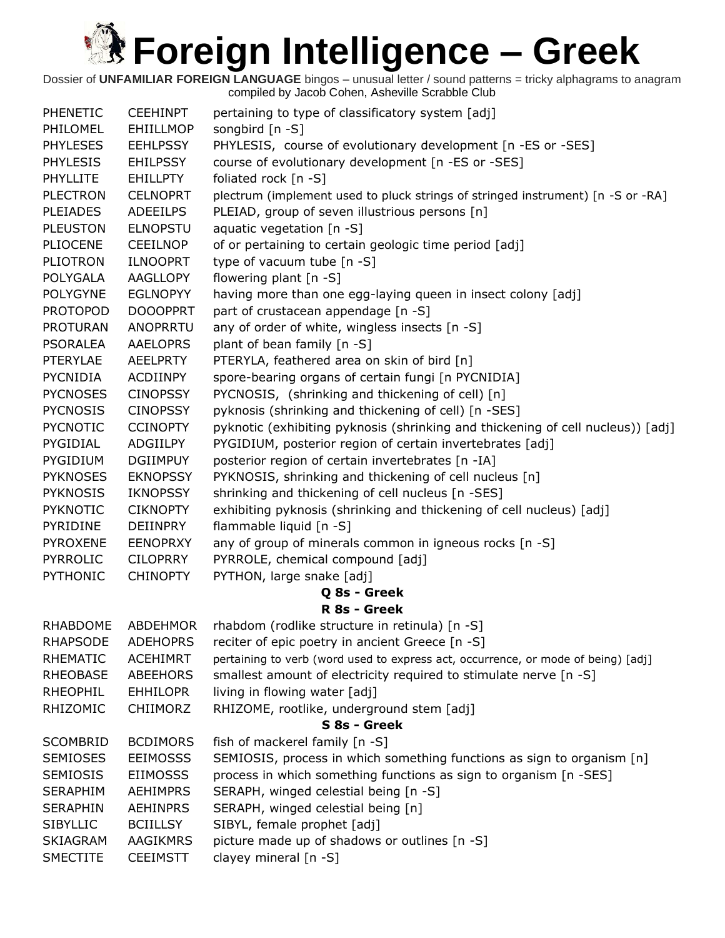| <b>PHENETIC</b> | <b>CEEHINPT</b>  | pertaining to type of classificatory system [adj]                                 |
|-----------------|------------------|-----------------------------------------------------------------------------------|
| PHILOMEL        | <b>EHIILLMOP</b> | songbird [n -S]                                                                   |
| <b>PHYLESES</b> | <b>EEHLPSSY</b>  | PHYLESIS, course of evolutionary development [n -ES or -SES]                      |
| <b>PHYLESIS</b> | <b>EHILPSSY</b>  | course of evolutionary development [n -ES or -SES]                                |
| <b>PHYLLITE</b> | <b>EHILLPTY</b>  | foliated rock [n -S]                                                              |
| <b>PLECTRON</b> | <b>CELNOPRT</b>  | plectrum (implement used to pluck strings of stringed instrument) [n -S or -RA]   |
| <b>PLEIADES</b> | <b>ADEEILPS</b>  | PLEIAD, group of seven illustrious persons [n]                                    |
| <b>PLEUSTON</b> | <b>ELNOPSTU</b>  | aquatic vegetation $[n - S]$                                                      |
| <b>PLIOCENE</b> | <b>CEEILNOP</b>  | of or pertaining to certain geologic time period [adj]                            |
| <b>PLIOTRON</b> | <b>ILNOOPRT</b>  | type of vacuum tube [n -S]                                                        |
| <b>POLYGALA</b> | <b>AAGLLOPY</b>  | flowering plant [n -S]                                                            |
| <b>POLYGYNE</b> | <b>EGLNOPYY</b>  | having more than one egg-laying queen in insect colony [adj]                      |
| <b>PROTOPOD</b> | <b>DOOOPPRT</b>  | part of crustacean appendage [n -S]                                               |
| <b>PROTURAN</b> | ANOPRRTU         | any of order of white, wingless insects [n -S]                                    |
| <b>PSORALEA</b> | <b>AAELOPRS</b>  | plant of bean family [n -S]                                                       |
| <b>PTERYLAE</b> | <b>AEELPRTY</b>  | PTERYLA, feathered area on skin of bird [n]                                       |
| <b>PYCNIDIA</b> | ACDIINPY         | spore-bearing organs of certain fungi [n PYCNIDIA]                                |
| <b>PYCNOSES</b> | <b>CINOPSSY</b>  | PYCNOSIS, (shrinking and thickening of cell) [n]                                  |
| <b>PYCNOSIS</b> | <b>CINOPSSY</b>  | pyknosis (shrinking and thickening of cell) [n -SES]                              |
| <b>PYCNOTIC</b> | <b>CCINOPTY</b>  | pyknotic (exhibiting pyknosis (shrinking and thickening of cell nucleus)) [adj]   |
| PYGIDIAL        | ADGIILPY         | PYGIDIUM, posterior region of certain invertebrates [adj]                         |
| PYGIDIUM        | <b>DGIIMPUY</b>  | posterior region of certain invertebrates [n -IA]                                 |
| <b>PYKNOSES</b> | <b>EKNOPSSY</b>  | PYKNOSIS, shrinking and thickening of cell nucleus [n]                            |
| <b>PYKNOSIS</b> | <b>IKNOPSSY</b>  | shrinking and thickening of cell nucleus [n -SES]                                 |
| <b>PYKNOTIC</b> | <b>CIKNOPTY</b>  | exhibiting pyknosis (shrinking and thickening of cell nucleus) [adj]              |
| PYRIDINE        | <b>DEIINPRY</b>  | flammable liquid [n -S]                                                           |
| <b>PYROXENE</b> | <b>EENOPRXY</b>  | any of group of minerals common in igneous rocks [n -S]                           |
| <b>PYRROLIC</b> | <b>CILOPRRY</b>  | PYRROLE, chemical compound [adj]                                                  |
| <b>PYTHONIC</b> | <b>CHINOPTY</b>  | PYTHON, large snake [adj]                                                         |
|                 |                  | Q 8s - Greek                                                                      |
|                 |                  | R 8s - Greek                                                                      |
| RHABDOME        | <b>ABDEHMOR</b>  | rhabdom (rodlike structure in retinula) [n -S]                                    |
| <b>RHAPSODE</b> | <b>ADEHOPRS</b>  | reciter of epic poetry in ancient Greece [n -S]                                   |
| <b>RHEMATIC</b> | <b>ACEHIMRT</b>  | pertaining to verb (word used to express act, occurrence, or mode of being) [adj] |
| <b>RHEOBASE</b> | <b>ABEEHORS</b>  | smallest amount of electricity required to stimulate nerve [n -S]                 |
| <b>RHEOPHIL</b> | <b>EHHILOPR</b>  | living in flowing water [adj]                                                     |
| RHIZOMIC        | <b>CHIIMORZ</b>  | RHIZOME, rootlike, underground stem [adj]                                         |
|                 |                  | S 8s - Greek                                                                      |
| <b>SCOMBRID</b> | <b>BCDIMORS</b>  | fish of mackerel family [n -S]                                                    |
| <b>SEMIOSES</b> | <b>EEIMOSSS</b>  | SEMIOSIS, process in which something functions as sign to organism [n]            |
| <b>SEMIOSIS</b> | <b>EIIMOSSS</b>  | process in which something functions as sign to organism [n -SES]                 |
| <b>SERAPHIM</b> | <b>AEHIMPRS</b>  | SERAPH, winged celestial being [n -S]                                             |
| <b>SERAPHIN</b> | <b>AEHINPRS</b>  | SERAPH, winged celestial being [n]                                                |
| <b>SIBYLLIC</b> | <b>BCIILLSY</b>  | SIBYL, female prophet [adj]                                                       |
| <b>SKIAGRAM</b> | AAGIKMRS         | picture made up of shadows or outlines [n -S]                                     |
| <b>SMECTITE</b> | <b>CEEIMSTT</b>  | clayey mineral [n -S]                                                             |
|                 |                  |                                                                                   |